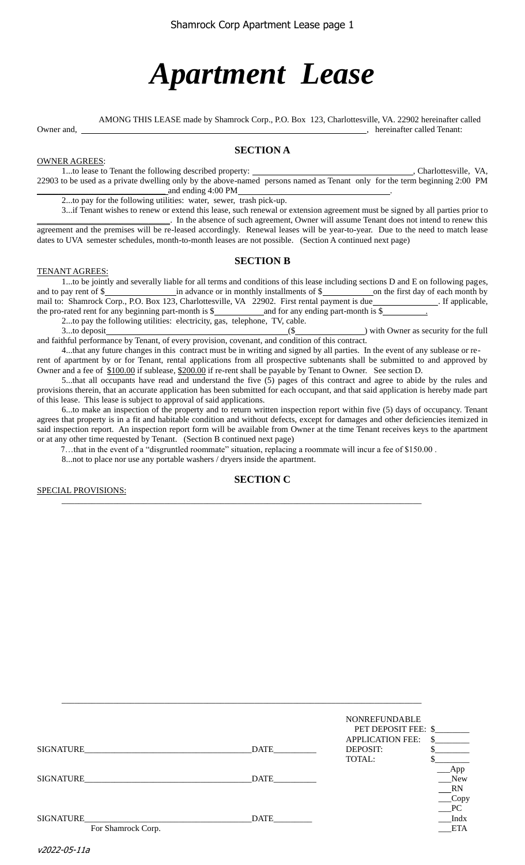# *Apartment Lease*

AMONG THIS LEASE made by Shamrock Corp., P.O. Box 123, Charlottesville, VA. 22902 hereinafter called

Owner and, , hereinafter called Tenant:

# **SECTION A**

OWNER AGREES: 1...to lease to Tenant the following described property: \_\_\_\_\_\_\_\_\_\_\_\_\_\_\_\_\_\_\_\_\_\_\_\_\_\_\_\_\_\_\_\_\_\_, Charlottesville, VA, 22903 to be used as a private dwelling only by the above-named persons named as Tenant only for the term beginning 2:00 PM \_\_\_\_\_\_\_\_\_\_\_\_\_\_\_\_\_\_\_\_\_\_\_\_\_\_\_\_\_\_ and ending 4:00 PM .

2...to pay for the following utilities: water, sewer, trash pick-up.

3...if Tenant wishes to renew or extend this lease, such renewal or extension agreement must be signed by all parties prior to \_\_\_\_\_\_\_\_\_\_\_\_\_\_\_\_\_\_\_\_\_\_\_\_\_\_\_\_\_\_\_. In the absence of such agreement, Owner will assume Tenant does not intend to renew this agreement and the premises will be re-leased accordingly. Renewal leases will be year-to-year. Due to the need to match lease dates to UVA semester schedules, month-to-month leases are not possible. (Section A continued next page)

## **SECTION B**

#### TENANT AGREES:

1...to be jointly and severally liable for all terms and conditions of this lease including sections D and E on following pages, and to pay rent of \$ mail to: Shamrock Corp., P.O. Box 123, Charlottesville, VA 22902. First rental payment is due \_\_\_\_\_\_\_\_\_\_\_\_. If applicable, the pro-rated rent for any beginning part-month is  $\frac{1}{2}$  and for any ending part-month is  $\frac{1}{2}$ 2...to pay the following utilities: electricity, gas, telephone, TV, cable.

3...to deposit (\$ and faithful performance by Tenant, of every provision, covenant, and condition of this contract.

4...that any future changes in this contract must be in writing and signed by all parties. In the event of any sublease or rerent of apartment by or for Tenant, rental applications from all prospective subtenants shall be submitted to and approved by Owner and a fee of  $$100.00$  if sublease, \$200.00 if re-rent shall be payable by Tenant to Owner. See section D.

5...that all occupants have read and understand the five (5) pages of this contract and agree to abide by the rules and provisions therein, that an accurate application has been submitted for each occupant, and that said application is hereby made part of this lease. This lease is subject to approval of said applications.

6...to make an inspection of the property and to return written inspection report within five (5) days of occupancy. Tenant agrees that property is in a fit and habitable condition and without defects, except for damages and other deficiencies itemized in said inspection report. An inspection report form will be available from Owner at the time Tenant receives keys to the apartment or at any other time requested by Tenant. (Section B continued next page)

7…that in the event of a "disgruntled roommate" situation, replacing a roommate will incur a fee of \$150.00 .

\_\_\_\_\_\_\_\_\_\_\_\_\_\_\_\_\_\_\_\_\_\_\_\_\_\_\_\_\_\_\_\_\_\_\_\_\_\_\_\_\_\_\_\_\_\_\_\_\_\_\_\_\_\_\_\_\_\_\_\_\_\_\_\_\_\_\_\_\_\_\_\_\_\_\_\_\_\_\_\_\_\_\_\_

8...not to place nor use any portable washers / dryers inside the apartment.

## **SECTION C**

SPECIAL PROVISIONS:

|                                        |             | <b>NONREFUNDABLE</b><br>PET DEPOSIT FEE: \$   |                                           |
|----------------------------------------|-------------|-----------------------------------------------|-------------------------------------------|
| SIGNATURE                              | DATE        | <b>APPLICATION FEE:</b><br>DEPOSIT:<br>TOTAL: | \$.                                       |
| SIGNATURE                              | <b>DATE</b> |                                               | App<br>New<br>RN                          |
| <b>SIGNATURE</b><br>For Shamrock Corp. | DATE        |                                               | $\text{Copy}$<br>PC<br>Indx<br><b>ETA</b> |

\_\_\_\_\_\_\_\_\_\_\_\_\_\_\_\_\_\_\_\_\_\_\_\_\_\_\_\_\_\_\_\_\_\_\_\_\_\_\_\_\_\_\_\_\_\_\_\_\_\_\_\_\_\_\_\_\_\_\_\_\_\_\_\_\_\_\_\_\_\_\_\_\_\_\_\_\_\_\_\_\_\_\_\_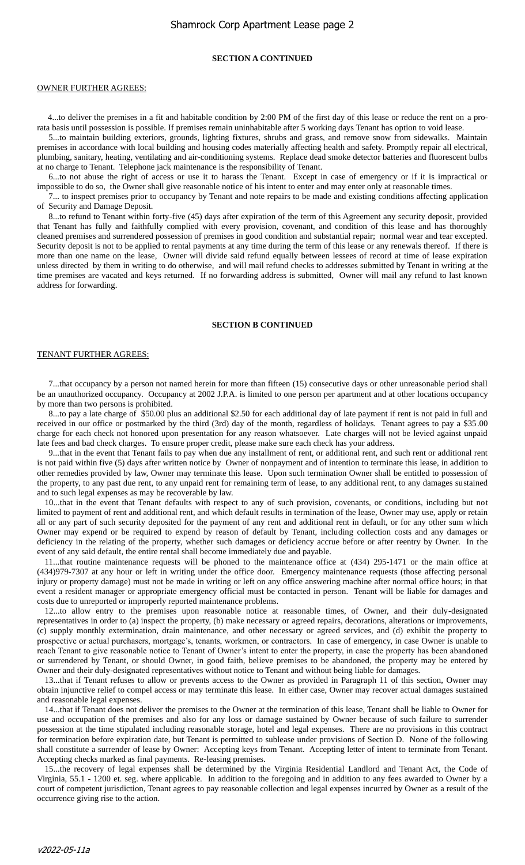# Shamrock Corp Apartment Lease page 2

#### **SECTION A CONTINUED**

#### OWNER FURTHER AGREES:

 4...to deliver the premises in a fit and habitable condition by 2:00 PM of the first day of this lease or reduce the rent on a prorata basis until possession is possible. If premises remain uninhabitable after 5 working days Tenant has option to void lease.

5...to maintain building exteriors, grounds, lighting fixtures, shrubs and grass, and remove snow from sidewalks. Maintain premises in accordance with local building and housing codes materially affecting health and safety. Promptly repair all electrical, plumbing, sanitary, heating, ventilating and air-conditioning systems. Replace dead smoke detector batteries and fluorescent bulbs at no charge to Tenant. Telephone jack maintenance is the responsibility of Tenant.

6...to not abuse the right of access or use it to harass the Tenant. Except in case of emergency or if it is impractical or impossible to do so, the Owner shall give reasonable notice of his intent to enter and may enter only at reasonable times.

7... to inspect premises prior to occupancy by Tenant and note repairs to be made and existing conditions affecting application of Security and Damage Deposit.

8...to refund to Tenant within forty-five (45) days after expiration of the term of this Agreement any security deposit, provided that Tenant has fully and faithfully complied with every provision, covenant, and condition of this lease and has thoroughly cleaned premises and surrendered possession of premises in good condition and substantial repair; normal wear and tear excepted. Security deposit is not to be applied to rental payments at any time during the term of this lease or any renewals thereof. If there is more than one name on the lease, Owner will divide said refund equally between lessees of record at time of lease expiration unless directed by them in writing to do otherwise, and will mail refund checks to addresses submitted by Tenant in writing at the time premises are vacated and keys returned. If no forwarding address is submitted, Owner will mail any refund to last known address for forwarding.

#### **SECTION B CONTINUED**

#### TENANT FURTHER AGREES:

7...that occupancy by a person not named herein for more than fifteen (15) consecutive days or other unreasonable period shall be an unauthorized occupancy. Occupancy at 2002 J.P.A. is limited to one person per apartment and at other locations occupancy by more than two persons is prohibited.

8...to pay a late charge of \$50.00 plus an additional \$2.50 for each additional day of late payment if rent is not paid in full and received in our office or postmarked by the third (3rd) day of the month, regardless of holidays. Tenant agrees to pay a \$35.00 charge for each check not honored upon presentation for any reason whatsoever. Late charges will not be levied against unpaid late fees and bad check charges. To ensure proper credit, please make sure each check has your address.

9...that in the event that Tenant fails to pay when due any installment of rent, or additional rent, and such rent or additional rent is not paid within five (5) days after written notice by Owner of nonpayment and of intention to terminate this lease, in addition to other remedies provided by law, Owner may terminate this lease. Upon such termination Owner shall be entitled to possession of the property, to any past due rent, to any unpaid rent for remaining term of lease, to any additional rent, to any damages sustained and to such legal expenses as may be recoverable by law.

10...that in the event that Tenant defaults with respect to any of such provision, covenants, or conditions, including but not limited to payment of rent and additional rent, and which default results in termination of the lease, Owner may use, apply or retain all or any part of such security deposited for the payment of any rent and additional rent in default, or for any other sum which Owner may expend or be required to expend by reason of default by Tenant, including collection costs and any damages or deficiency in the relating of the property, whether such damages or deficiency accrue before or after reentry by Owner. In the event of any said default, the entire rental shall become immediately due and payable.

11...that routine maintenance requests will be phoned to the maintenance office at (434) 295-1471 or the main office at (434)979-7307 at any hour or left in writing under the office door. Emergency maintenance requests (those affecting personal injury or property damage) must not be made in writing or left on any office answering machine after normal office hours; in that event a resident manager or appropriate emergency official must be contacted in person. Tenant will be liable for damages and costs due to unreported or improperly reported maintenance problems.

12...to allow entry to the premises upon reasonable notice at reasonable times, of Owner, and their duly-designated representatives in order to (a) inspect the property, (b) make necessary or agreed repairs, decorations, alterations or improvements, (c) supply monthly extermination, drain maintenance, and other necessary or agreed services, and (d) exhibit the property to prospective or actual purchasers, mortgage's, tenants, workmen, or contractors. In case of emergency, in case Owner is unable to reach Tenant to give reasonable notice to Tenant of Owner's intent to enter the property, in case the property has been abandoned or surrendered by Tenant, or should Owner, in good faith, believe premises to be abandoned, the property may be entered by Owner and their duly-designated representatives without notice to Tenant and without being liable for damages.

13...that if Tenant refuses to allow or prevents access to the Owner as provided in Paragraph 11 of this section, Owner may obtain injunctive relief to compel access or may terminate this lease. In either case, Owner may recover actual damages sustained and reasonable legal expenses.

14...that if Tenant does not deliver the premises to the Owner at the termination of this lease, Tenant shall be liable to Owner for use and occupation of the premises and also for any loss or damage sustained by Owner because of such failure to surrender possession at the time stipulated including reasonable storage, hotel and legal expenses. There are no provisions in this contract for termination before expiration date, but Tenant is permitted to sublease under provisions of Section D. None of the following shall constitute a surrender of lease by Owner: Accepting keys from Tenant. Accepting letter of intent to terminate from Tenant. Accepting checks marked as final payments. Re-leasing premises.

15...the recovery of legal expenses shall be determined by the Virginia Residential Landlord and Tenant Act, the Code of Virginia, 55.1 - 1200 et. seg. where applicable. In addition to the foregoing and in addition to any fees awarded to Owner by a court of competent jurisdiction, Tenant agrees to pay reasonable collection and legal expenses incurred by Owner as a result of the occurrence giving rise to the action.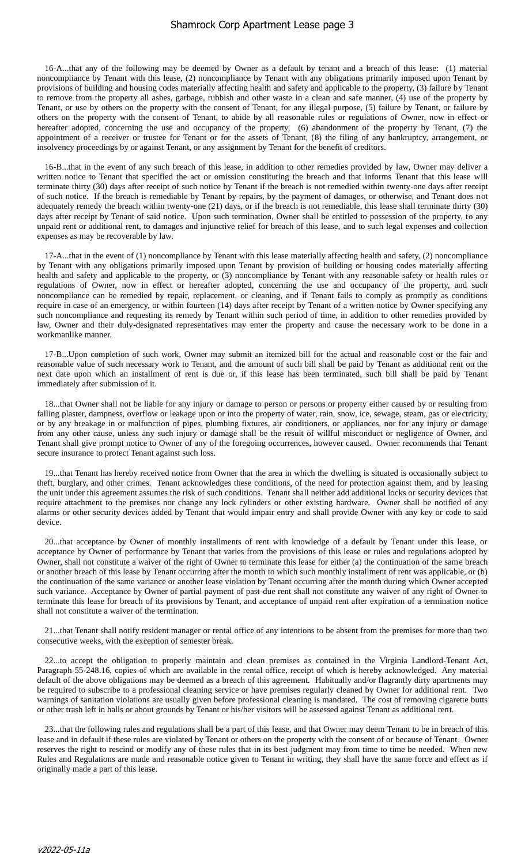16-A...that any of the following may be deemed by Owner as a default by tenant and a breach of this lease: (1) material noncompliance by Tenant with this lease, (2) noncompliance by Tenant with any obligations primarily imposed upon Tenant by provisions of building and housing codes materially affecting health and safety and applicable to the property, (3) failure by Tenant to remove from the property all ashes, garbage, rubbish and other waste in a clean and safe manner, (4) use of the property by Tenant, or use by others on the property with the consent of Tenant, for any illegal purpose, (5) failure by Tenant, or failure by others on the property with the consent of Tenant, to abide by all reasonable rules or regulations of Owner, now in effect or hereafter adopted, concerning the use and occupancy of the property, (6) abandonment of the property by Tenant, (7) the appointment of a receiver or trustee for Tenant or for the assets of Tenant, (8) the filing of any bankruptcy, arrangement, or insolvency proceedings by or against Tenant, or any assignment by Tenant for the benefit of creditors.

16-B...that in the event of any such breach of this lease, in addition to other remedies provided by law, Owner may deliver a written notice to Tenant that specified the act or omission constituting the breach and that informs Tenant that this lease will terminate thirty (30) days after receipt of such notice by Tenant if the breach is not remedied within twenty-one days after receipt of such notice. If the breach is remediable by Tenant by repairs, by the payment of damages, or otherwise, and Tenant does not adequately remedy the breach within twenty-one (21) days, or if the breach is not remediable, this lease shall terminate thirty (30) days after receipt by Tenant of said notice. Upon such termination, Owner shall be entitled to possession of the property, to any unpaid rent or additional rent, to damages and injunctive relief for breach of this lease, and to such legal expenses and collection expenses as may be recoverable by law.

17-A...that in the event of (1) noncompliance by Tenant with this lease materially affecting health and safety, (2) noncompliance by Tenant with any obligations primarily imposed upon Tenant by provision of building or housing codes materially affecting health and safety and applicable to the property, or (3) noncompliance by Tenant with any reasonable safety or health rules or regulations of Owner, now in effect or hereafter adopted, concerning the use and occupancy of the property, and such noncompliance can be remedied by repair, replacement, or cleaning, and if Tenant fails to comply as promptly as conditions require in case of an emergency, or within fourteen (14) days after receipt by Tenant of a written notice by Owner specifying any such noncompliance and requesting its remedy by Tenant within such period of time, in addition to other remedies provided by law, Owner and their duly-designated representatives may enter the property and cause the necessary work to be done in a workmanlike manner.

17-B...Upon completion of such work, Owner may submit an itemized bill for the actual and reasonable cost or the fair and reasonable value of such necessary work to Tenant, and the amount of such bill shall be paid by Tenant as additional rent on the next date upon which an installment of rent is due or, if this lease has been terminated, such bill shall be paid by Tenant immediately after submission of it.

18...that Owner shall not be liable for any injury or damage to person or persons or property either caused by or resulting from falling plaster, dampness, overflow or leakage upon or into the property of water, rain, snow, ice, sewage, steam, gas or electricity, or by any breakage in or malfunction of pipes, plumbing fixtures, air conditioners, or appliances, nor for any injury or damage from any other cause, unless any such injury or damage shall be the result of willful misconduct or negligence of Owner, and Tenant shall give prompt notice to Owner of any of the foregoing occurrences, however caused. Owner recommends that Tenant secure insurance to protect Tenant against such loss.

19...that Tenant has hereby received notice from Owner that the area in which the dwelling is situated is occasionally subject to theft, burglary, and other crimes. Tenant acknowledges these conditions, of the need for protection against them, and by leasing the unit under this agreement assumes the risk of such conditions. Tenant shall neither add additional locks or security devices that require attachment to the premises nor change any lock cylinders or other existing hardware. Owner shall be notified of any alarms or other security devices added by Tenant that would impair entry and shall provide Owner with any key or code to said device.

20...that acceptance by Owner of monthly installments of rent with knowledge of a default by Tenant under this lease, or acceptance by Owner of performance by Tenant that varies from the provisions of this lease or rules and regulations adopted by Owner, shall not constitute a waiver of the right of Owner to terminate this lease for either (a) the continuation of the same breach or another breach of this lease by Tenant occurring after the month to which such monthly installment of rent was applicable, or (b) the continuation of the same variance or another lease violation by Tenant occurring after the month during which Owner accepted such variance. Acceptance by Owner of partial payment of past-due rent shall not constitute any waiver of any right of Owner to terminate this lease for breach of its provisions by Tenant, and acceptance of unpaid rent after expiration of a termination notice shall not constitute a waiver of the termination.

21...that Tenant shall notify resident manager or rental office of any intentions to be absent from the premises for more than two consecutive weeks, with the exception of semester break.

22...to accept the obligation to properly maintain and clean premises as contained in the Virginia Landlord-Tenant Act, Paragraph 55-248.16, copies of which are available in the rental office, receipt of which is hereby acknowledged. Any material default of the above obligations may be deemed as a breach of this agreement. Habitually and/or flagrantly dirty apartments may be required to subscribe to a professional cleaning service or have premises regularly cleaned by Owner for additional rent. Two warnings of sanitation violations are usually given before professional cleaning is mandated. The cost of removing cigarette butts or other trash left in halls or about grounds by Tenant or his/her visitors will be assessed against Tenant as additional rent.

23...that the following rules and regulations shall be a part of this lease, and that Owner may deem Tenant to be in breach of this lease and in default if these rules are violated by Tenant or others on the property with the consent of or because of Tenant. Owner reserves the right to rescind or modify any of these rules that in its best judgment may from time to time be needed. When new Rules and Regulations are made and reasonable notice given to Tenant in writing, they shall have the same force and effect as if originally made a part of this lease.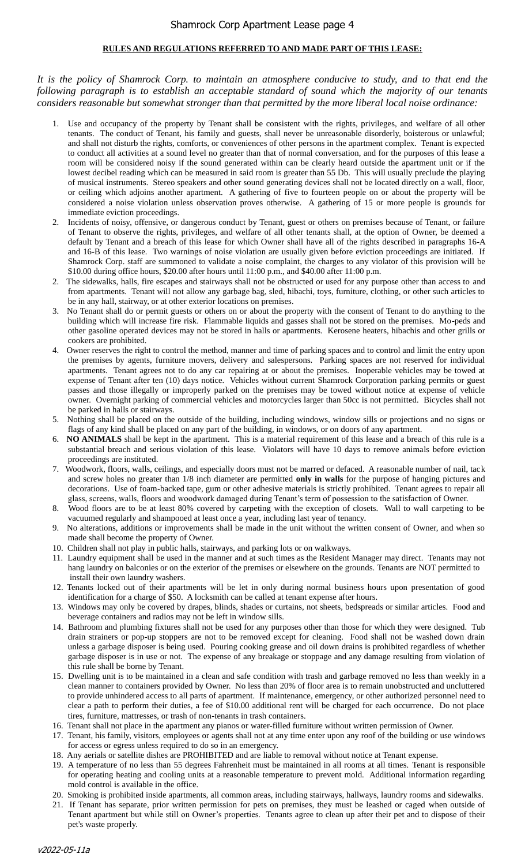# **RULES AND REGULATIONS REFERRED TO AND MADE PART OF THIS LEASE:**

*It is the policy of Shamrock Corp. to maintain an atmosphere conducive to study, and to that end the following paragraph is to establish an acceptable standard of sound which the majority of our tenants considers reasonable but somewhat stronger than that permitted by the more liberal local noise ordinance:*

- 1. Use and occupancy of the property by Tenant shall be consistent with the rights, privileges, and welfare of all other tenants. The conduct of Tenant, his family and guests, shall never be unreasonable disorderly, boisterous or unlawful; and shall not disturb the rights, comforts, or conveniences of other persons in the apartment complex. Tenant is expected to conduct all activities at a sound level no greater than that of normal conversation, and for the purposes of this lease a room will be considered noisy if the sound generated within can be clearly heard outside the apartment unit or if the lowest decibel reading which can be measured in said room is greater than 55 Db. This will usually preclude the playing of musical instruments. Stereo speakers and other sound generating devices shall not be located directly on a wall, floor, or ceiling which adjoins another apartment. A gathering of five to fourteen people on or about the property will be considered a noise violation unless observation proves otherwise. A gathering of 15 or more people is grounds for immediate eviction proceedings.
- 2. Incidents of noisy, offensive, or dangerous conduct by Tenant, guest or others on premises because of Tenant, or failure of Tenant to observe the rights, privileges, and welfare of all other tenants shall, at the option of Owner, be deemed a default by Tenant and a breach of this lease for which Owner shall have all of the rights described in paragraphs 16-A and 16-B of this lease. Two warnings of noise violation are usually given before eviction proceedings are initiated. If Shamrock Corp. staff are summoned to validate a noise complaint, the charges to any violator of this provision will be \$10.00 during office hours, \$20.00 after hours until 11:00 p.m., and \$40.00 after 11:00 p.m.
- 2. The sidewalks, halls, fire escapes and stairways shall not be obstructed or used for any purpose other than access to and from apartments. Tenant will not allow any garbage bag, sled, hibachi, toys, furniture, clothing, or other such articles to be in any hall, stairway, or at other exterior locations on premises.
- 3. No Tenant shall do or permit guests or others on or about the property with the consent of Tenant to do anything to the building which will increase fire risk. Flammable liquids and gasses shall not be stored on the premises. Mo-peds and other gasoline operated devices may not be stored in halls or apartments. Kerosene heaters, hibachis and other grills or cookers are prohibited.
- 4. Owner reserves the right to control the method, manner and time of parking spaces and to control and limit the entry upon the premises by agents, furniture movers, delivery and salespersons. Parking spaces are not reserved for individual apartments. Tenant agrees not to do any car repairing at or about the premises. Inoperable vehicles may be towed at expense of Tenant after ten (10) days notice. Vehicles without current Shamrock Corporation parking permits or guest passes and those illegally or improperly parked on the premises may be towed without notice at expense of vehicle owner. Overnight parking of commercial vehicles and motorcycles larger than 50cc is not permitted. Bicycles shall not be parked in halls or stairways.
- 5. Nothing shall be placed on the outside of the building, including windows, window sills or projections and no signs or flags of any kind shall be placed on any part of the building, in windows, or on doors of any apartment.
- 6. **NO ANIMALS** shall be kept in the apartment. This is a material requirement of this lease and a breach of this rule is a substantial breach and serious violation of this lease. Violators will have 10 days to remove animals before eviction proceedings are instituted.
- 7. Woodwork, floors, walls, ceilings, and especially doors must not be marred or defaced. A reasonable number of nail, tack and screw holes no greater than 1/8 inch diameter are permitted **only in walls** for the purpose of hanging pictures and decorations. Use of foam-backed tape, gum or other adhesive materials is strictly prohibited. Tenant agrees to repair all glass, screens, walls, floors and woodwork damaged during Tenant's term of possession to the satisfaction of Owner.
- 8. Wood floors are to be at least 80% covered by carpeting with the exception of closets. Wall to wall carpeting to be vacuumed regularly and shampooed at least once a year, including last year of tenancy.
- 9. No alterations, additions or improvements shall be made in the unit without the written consent of Owner, and when so made shall become the property of Owner.
- 10. Children shall not play in public halls, stairways, and parking lots or on walkways.
- 11. Laundry equipment shall be used in the manner and at such times as the Resident Manager may direct. Tenants may not hang laundry on balconies or on the exterior of the premises or elsewhere on the grounds. Tenants are NOT permitted to install their own laundry washers.
- 12. Tenants locked out of their apartments will be let in only during normal business hours upon presentation of good identification for a charge of \$50. A locksmith can be called at tenant expense after hours.
- 13. Windows may only be covered by drapes, blinds, shades or curtains, not sheets, bedspreads or similar articles. Food and beverage containers and radios may not be left in window sills.
- 14. Bathroom and plumbing fixtures shall not be used for any purposes other than those for which they were designed. Tub drain strainers or pop-up stoppers are not to be removed except for cleaning. Food shall not be washed down drain unless a garbage disposer is being used. Pouring cooking grease and oil down drains is prohibited regardless of whether garbage disposer is in use or not. The expense of any breakage or stoppage and any damage resulting from violation of this rule shall be borne by Tenant.
- 15. Dwelling unit is to be maintained in a clean and safe condition with trash and garbage removed no less than weekly in a clean manner to containers provided by Owner. No less than 20% of floor area is to remain unobstructed and uncluttered to provide unhindered access to all parts of apartment. If maintenance, emergency, or other authorized personnel need to clear a path to perform their duties, a fee of \$10.00 additional rent will be charged for each occurrence. Do not place tires, furniture, mattresses, or trash of non-tenants in trash containers.
- 16. Tenant shall not place in the apartment any pianos or water-filled furniture without written permission of Owner.
- 17. Tenant, his family, visitors, employees or agents shall not at any time enter upon any roof of the building or use windows for access or egress unless required to do so in an emergency.
- 18. Any aerials or satellite dishes are PROHIBITED and are liable to removal without notice at Tenant expense.
- 19. A temperature of no less than 55 degrees Fahrenheit must be maintained in all rooms at all times. Tenant is responsible for operating heating and cooling units at a reasonable temperature to prevent mold. Additional information regarding mold control is available in the office.
- 20. Smoking is prohibited inside apartments, all common areas, including stairways, hallways, laundry rooms and sidewalks.
- 21. If Tenant has separate, prior written permission for pets on premises, they must be leashed or caged when outside of Tenant apartment but while still on Owner's properties. Tenants agree to clean up after their pet and to dispose of their pet's waste properly.